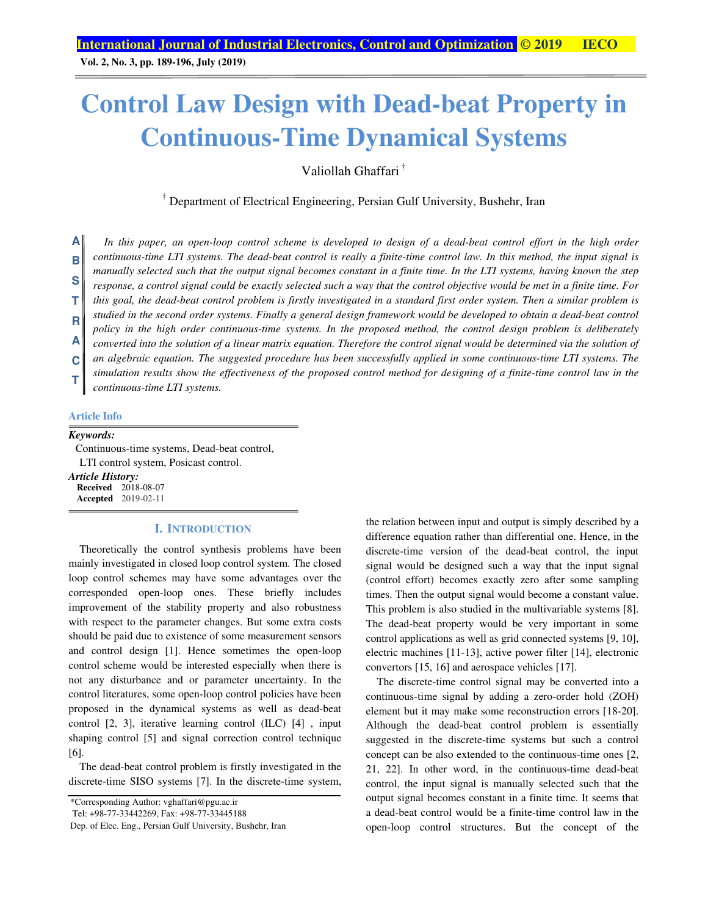**Vol. 2, No. 3, pp. 189-196, July (2019)**

### **Control Law Design with Dead-beat Property in Continuous-Time Dynamical Systems**

Valiollah Ghaffari †

† Department of Electrical Engineering, Persian Gulf University, Bushehr, Iran

In this paper, an open-loop control scheme is developed to design of a dead-beat control effort in the high order *continuous-time LTI systems. The dead-beat control is really a finite-time control law. In this method, the input signal is manually selected such that the output signal becomes constant in a finite time. In the LTI systems, having known the step response, a control signal could be exactly selected such a way that the control objective would be met in a finite time. For this goal, the dead-beat control problem is firstly investigated in a standard first order system. Then a similar problem is studied in the second order systems. Finally a general design framework would be developed to obtain a dead-beat control policy in the high order continuous-time systems. In the proposed method, the control design problem is deliberately converted into the solution of a linear matrix equation. Therefore the control signal would be determined via the solution of an algebraic equation. The suggested procedure has been successfully applied in some continuous-time LTI systems. The simulation results show the effectiveness of the proposed control method for designing of a finite-time control law in the continuous-time LTI systems.*  **A B S T R A C T**

### **Article Info**

#### *Keywords:*

Continuous-time systems, Dead-beat control, LTI control system, Posicast control.

*Article History:*  **Received** 2018-08-07 **Accepted** 2019-02-11

#### **I. INTRODUCTION**

Theoretically the control synthesis problems have been mainly investigated in closed loop control system. The closed loop control schemes may have some advantages over the corresponded open-loop ones. These briefly includes improvement of the stability property and also robustness with respect to the parameter changes. But some extra costs should be paid due to existence of some measurement sensors and control design [1]. Hence sometimes the open-loop control scheme would be interested especially when there is not any disturbance and or parameter uncertainty. In the control literatures, some open-loop control policies have been proposed in the dynamical systems as well as dead-beat control [2, 3], iterative learning control (ILC) [4] , input shaping control [5] and signal correction control technique [6].

The dead-beat control problem is firstly investigated in the discrete-time SISO systems [7]. In the discrete-time system,

\*Corresponding Author: vghaffari@pgu.ac.ir

Tel: +98-77-33442269, Fax: +98-77-33445188

Dep. of Elec. Eng., Persian Gulf University, Bushehr, Iran

the relation between input and output is simply described by a difference equation rather than differential one. Hence, in the discrete-time version of the dead-beat control, the input signal would be designed such a way that the input signal (control effort) becomes exactly zero after some sampling times. Then the output signal would become a constant value. This problem is also studied in the multivariable systems [8]. The dead-beat property would be very important in some control applications as well as grid connected systems [9, 10], electric machines [11-13], active power filter [14], electronic convertors [15, 16] and aerospace vehicles [17].

The discrete-time control signal may be converted into a continuous-time signal by adding a zero-order hold (ZOH) element but it may make some reconstruction errors [18-20]. Although the dead-beat control problem is essentially suggested in the discrete-time systems but such a control concept can be also extended to the continuous-time ones [2, 21, 22]. In other word, in the continuous-time dead-beat control, the input signal is manually selected such that the output signal becomes constant in a finite time. It seems that a dead-beat control would be a finite-time control law in the open-loop control structures. But the concept of the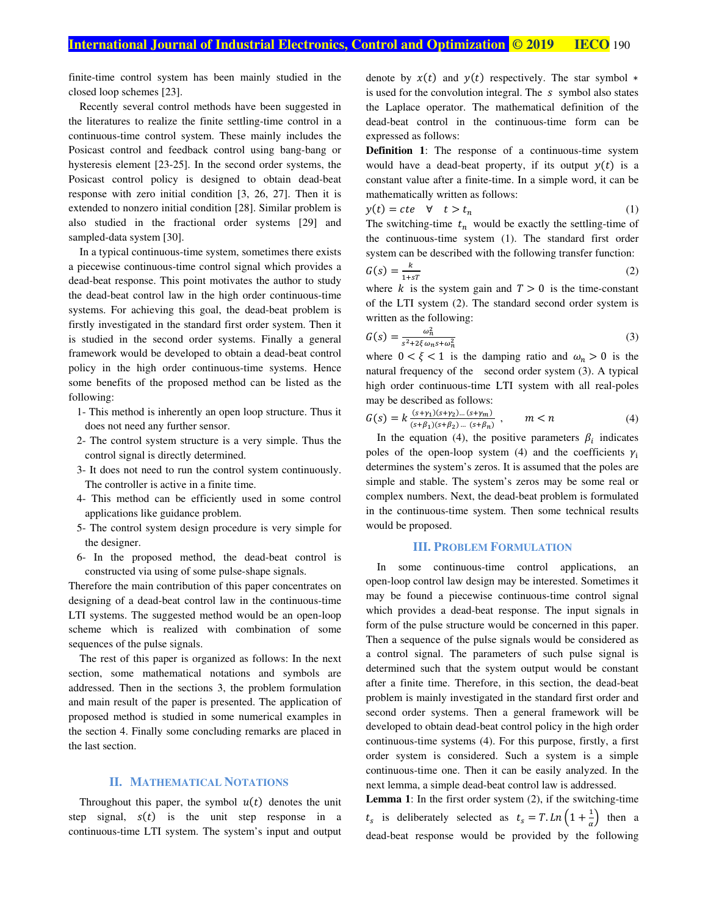finite-time control system has been mainly studied in the closed loop schemes [23].

Recently several control methods have been suggested in the literatures to realize the finite settling-time control in a continuous-time control system. These mainly includes the Posicast control and feedback control using bang-bang or hysteresis element [23-25]. In the second order systems, the Posicast control policy is designed to obtain dead-beat response with zero initial condition [3, 26, 27]. Then it is extended to nonzero initial condition [28]. Similar problem is also studied in the fractional order systems [29] and sampled-data system [30].

In a typical continuous-time system, sometimes there exists a piecewise continuous-time control signal which provides a dead-beat response. This point motivates the author to study the dead-beat control law in the high order continuous-time systems. For achieving this goal, the dead-beat problem is firstly investigated in the standard first order system. Then it is studied in the second order systems. Finally a general framework would be developed to obtain a dead-beat control policy in the high order continuous-time systems. Hence some benefits of the proposed method can be listed as the following:

- 1- This method is inherently an open loop structure. Thus it does not need any further sensor.
- 2- The control system structure is a very simple. Thus the control signal is directly determined.
- 3- It does not need to run the control system continuously. The controller is active in a finite time.
- 4- This method can be efficiently used in some control applications like guidance problem.
- 5- The control system design procedure is very simple for the designer.
- 6- In the proposed method, the dead-beat control is constructed via using of some pulse-shape signals.

Therefore the main contribution of this paper concentrates on designing of a dead-beat control law in the continuous-time LTI systems. The suggested method would be an open-loop scheme which is realized with combination of some sequences of the pulse signals.

The rest of this paper is organized as follows: In the next section, some mathematical notations and symbols are addressed. Then in the sections 3, the problem formulation and main result of the paper is presented. The application of proposed method is studied in some numerical examples in the section 4. Finally some concluding remarks are placed in the last section.

#### **II. MATHEMATICAL NOTATIONS**

Throughout this paper, the symbol  $u(t)$  denotes the unit step signal,  $s(t)$  is the unit step response in a continuous-time LTI system. The system's input and output

denote by  $x(t)$  and  $y(t)$  respectively. The star symbol  $*$ is used for the convolution integral. The  $s$  symbol also states the Laplace operator. The mathematical definition of the dead-beat control in the continuous-time form can be expressed as follows:

**Definition 1**: The response of a continuous-time system would have a dead-beat property, if its output  $y(t)$  is a constant value after a finite-time. In a simple word, it can be mathematically written as follows:

$$
y(t) = cte \quad \forall \quad t > t_n \tag{1}
$$

The switching-time  $t_n$  would be exactly the settling-time of the continuous-time system (1). The standard first order system can be described with the following transfer function:

$$
G(s) = \frac{k}{1+sT} \tag{2}
$$

where k is the system gain and  $T > 0$  is the time-constant of the LTI system (2). The standard second order system is written as the following:

$$
G(s) = \frac{\omega_n^2}{s^2 + 2\xi\omega_n s + \omega_n^2}
$$
 (3)

where  $0 < \xi < 1$  is the damping ratio and  $\omega_n > 0$  is the natural frequency of the second order system (3). A typical high order continuous-time LTI system with all real-poles may be described as follows:

$$
G(s) = k \frac{(s + \gamma_1)(s + \gamma_2)\dots(s + \gamma_m)}{(s + \beta_1)(s + \beta_2)\dots(s + \beta_n)}, \qquad m < n \tag{4}
$$

In the equation (4), the positive parameters  $\beta_i$  indicates poles of the open-loop system (4) and the coefficients  $\gamma_i$ determines the system's zeros. It is assumed that the poles are simple and stable. The system's zeros may be some real or complex numbers. Next, the dead-beat problem is formulated in the continuous-time system. Then some technical results would be proposed.

#### **III. PROBLEM FORMULATION**

In some continuous-time control applications, an open-loop control law design may be interested. Sometimes it may be found a piecewise continuous-time control signal which provides a dead-beat response. The input signals in form of the pulse structure would be concerned in this paper. Then a sequence of the pulse signals would be considered as a control signal. The parameters of such pulse signal is determined such that the system output would be constant after a finite time. Therefore, in this section, the dead-beat problem is mainly investigated in the standard first order and second order systems. Then a general framework will be developed to obtain dead-beat control policy in the high order continuous-time systems (4). For this purpose, firstly, a first order system is considered. Such a system is a simple continuous-time one. Then it can be easily analyzed. In the next lemma, a simple dead-beat control law is addressed.

**Lemma 1**: In the first order system (2), if the switching-time  $t_s$  is deliberately selected as  $t_s = T.Ln\left(1 + \frac{1}{\alpha}\right)$  then a dead-beat response would be provided by the following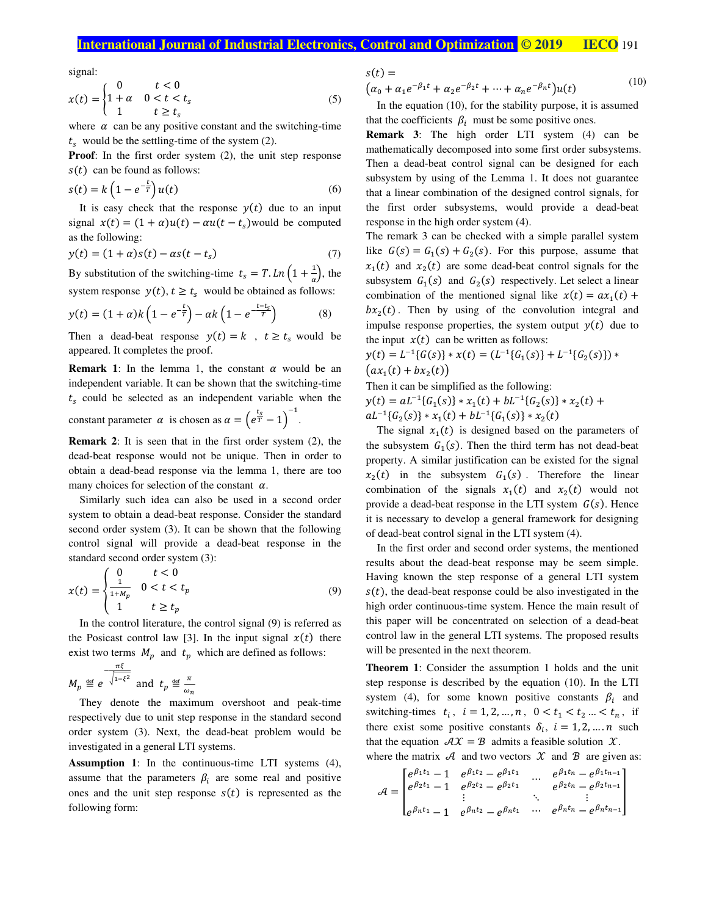### **International Journal of Industrial Electronics, Control and Optimization © 2019 IECO** 191

signal:

$$
x(t) = \begin{cases} 0 & t < 0 \\ 1 + \alpha & 0 < t < t_s \\ 1 & t \ge t_s \end{cases} \tag{5}
$$

where  $\alpha$  can be any positive constant and the switching-time  $t_s$  would be the settling-time of the system (2).

**Proof**: In the first order system (2), the unit step response  $s(t)$  can be found as follows:

$$
s(t) = k\left(1 - e^{-\overline{\tau}}\right)u(t) \tag{6}
$$

 $t \setminus$ 

It is easy check that the response  $y(t)$  due to an input signal  $x(t) = (1 + \alpha)u(t) - \alpha u(t - t_s)$  would be computed as the following:

$$
y(t) = (1 + \alpha)s(t) - \alpha s(t - t_s)
$$
 (7)

By substitution of the switching-time  $t_s = T \cdot Ln\left(1 + \frac{1}{\alpha}\right)$ , the system response  $y(t)$ ,  $t \ge t_s$  would be obtained as follows:

$$
y(t) = (1 + \alpha)k\left(1 - e^{-\frac{t}{T}}\right) - \alpha k\left(1 - e^{-\frac{t - t_s}{T}}\right) \tag{8}
$$

Then a dead-beat response  $y(t) = k$ ,  $t \ge t_s$  would be appeared. It completes the proof.

**Remark 1:** In the lemma 1, the constant  $\alpha$  would be an independent variable. It can be shown that the switching-time  $t_s$  could be selected as an independent variable when the

constant parameter  $\alpha$  is chosen as  $\alpha = (e^{\frac{t_s}{T}} - 1)^{-1}$ .

**Remark 2**: It is seen that in the first order system (2), the dead-beat response would not be unique. Then in order to obtain a dead-bead response via the lemma 1, there are too many choices for selection of the constant  $\alpha$ .

Similarly such idea can also be used in a second order system to obtain a dead-beat response. Consider the standard second order system (3). It can be shown that the following control signal will provide a dead-beat response in the standard second order system (3):

$$
x(t) = \begin{cases} 0 & t < 0\\ \frac{1}{1 + M_p} & 0 < t < t_p\\ 1 & t \ge t_p \end{cases}
$$
(9)

In the control literature, the control signal (9) is referred as the Posicast control law [3]. In the input signal  $x(t)$  there exist two terms  $M_p$  and  $t_p$  which are defined as follows:

$$
M_p \stackrel{\text{def}}{=} e^{-\frac{\pi \xi}{\sqrt{1-\xi^2}}} \text{ and } t_p \stackrel{\text{def}}{=} \frac{\pi}{\omega_n}
$$

They denote the maximum overshoot and peak-time respectively due to unit step response in the standard second order system (3). Next, the dead-beat problem would be investigated in a general LTI systems.

**Assumption 1**: In the continuous-time LTI systems (4), assume that the parameters  $\beta_i$  are some real and positive ones and the unit step response  $s(t)$  is represented as the following form:

$$
s(t) =(\alpha_0 + \alpha_1 e^{-\beta_1 t} + \alpha_2 e^{-\beta_2 t} + \dots + \alpha_n e^{-\beta_n t})u(t)
$$
 (10)

In the equation (10), for the stability purpose, it is assumed that the coefficients  $\beta_i$  must be some positive ones.

**Remark 3**: The high order LTI system (4) can be mathematically decomposed into some first order subsystems. Then a dead-beat control signal can be designed for each subsystem by using of the Lemma 1. It does not guarantee that a linear combination of the designed control signals, for the first order subsystems, would provide a dead-beat response in the high order system (4).

The remark 3 can be checked with a simple parallel system like  $G(s) = G_1(s) + G_2(s)$ . For this purpose, assume that  $x_1(t)$  and  $x_2(t)$  are some dead-beat control signals for the subsystem  $G_1(s)$  and  $G_2(s)$  respectively. Let select a linear combination of the mentioned signal like  $x(t) = ax_1(t) +$  $bx_2(t)$ . Then by using of the convolution integral and impulse response properties, the system output  $y(t)$  due to the input  $x(t)$  can be written as follows:

$$
y(t) = L^{-1}{G(s)} * x(t) = (L^{-1}{G1(s)} + L^{-1}{G2(s)}) * (ax1(t) + bx2(t))
$$

Then it can be simplified as the following:

 $y(t) = aL^{-1}{G_1(s)} * x_1(t) + bL^{-1}{G_2(s)} * x_2(t) +$  $aL^{-1}{G_2(s)} * x_1(t) + bL^{-1}{G_1(s)} * x_2(t)$ 

The signal  $x_1(t)$  is designed based on the parameters of the subsystem  $G_1(s)$ . Then the third term has not dead-beat property. A similar justification can be existed for the signal  $x_2(t)$  in the subsystem  $G_1(s)$ . Therefore the linear combination of the signals  $x_1(t)$  and  $x_2(t)$  would not provide a dead-beat response in the LTI system  $G(s)$ . Hence it is necessary to develop a general framework for designing of dead-beat control signal in the LTI system (4).

In the first order and second order systems, the mentioned results about the dead-beat response may be seem simple. Having known the step response of a general LTI system  $s(t)$ , the dead-beat response could be also investigated in the high order continuous-time system. Hence the main result of this paper will be concentrated on selection of a dead-beat control law in the general LTI systems. The proposed results will be presented in the next theorem.

**Theorem 1**: Consider the assumption 1 holds and the unit step response is described by the equation (10). In the LTI system (4), for some known positive constants  $\beta_i$  and switching-times  $t_i$ ,  $i = 1, 2, ..., n$ ,  $0 < t_1 < t_2 ... < t_n$ , if there exist some positive constants  $\delta_i$ ,  $i = 1, 2, ..., n$  such that the equation  $\mathcal{A}X = \mathcal{B}$  admits a feasible solution  $\mathcal{X}$ .

where the matrix  $\mathcal A$  and two vectors  $\mathcal X$  and  $\mathcal B$  are given as:

$$
\mathcal{A} = \begin{bmatrix} e^{\beta_1 t_1} - 1 & e^{\beta_1 t_2} - e^{\beta_1 t_1} & \cdots & e^{\beta_1 t_n} - e^{\beta_1 t_{n-1}} \\ e^{\beta_2 t_1} - 1 & e^{\beta_2 t_2} - e^{\beta_2 t_1} & \cdots & e^{\beta_2 t_n} - e^{\beta_2 t_{n-1}} \\ \vdots & \vdots & \ddots & \vdots \\ e^{\beta_n t_1} - 1 & e^{\beta_n t_2} - e^{\beta_n t_1} & \cdots & e^{\beta_n t_n} - e^{\beta_n t_{n-1}} \end{bmatrix}
$$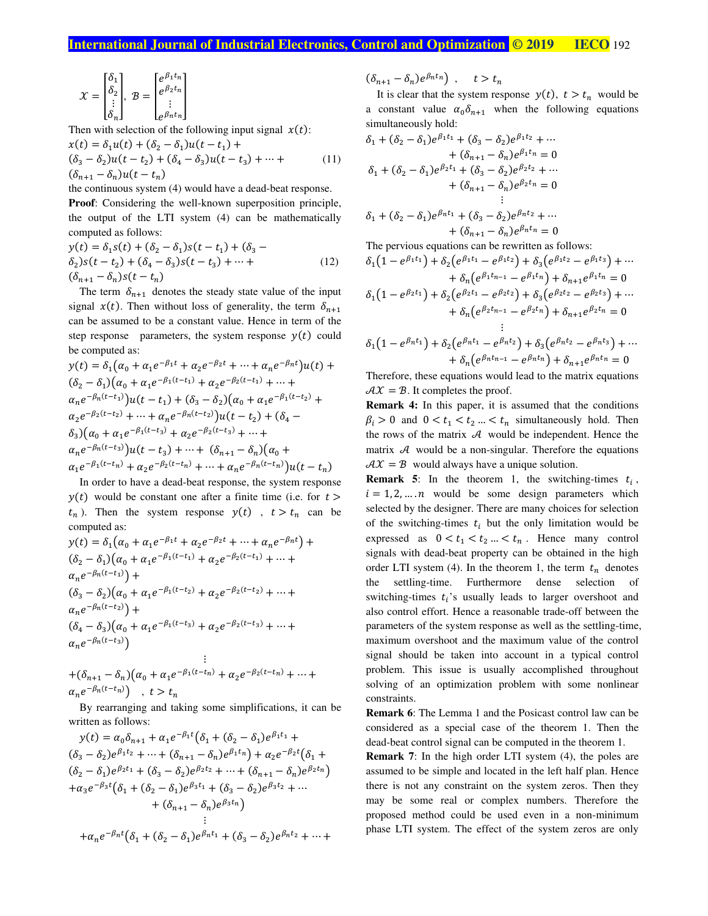$$
\mathcal{X} = \begin{bmatrix} \delta_1 \\ \delta_2 \\ \vdots \\ \delta_n \end{bmatrix}, \ \mathcal{B} = \begin{bmatrix} e^{\beta_1 t_n} \\ e^{\beta_2 t_n} \\ \vdots \\ e^{\beta_n t_n} \end{bmatrix}
$$

Then with selection of the following input signal  $x(t)$ :

$$
x(t) = \delta_1 u(t) + (\delta_2 - \delta_1)u(t - t_1) +
$$
  
\n
$$
(\delta_3 - \delta_2)u(t - t_2) + (\delta_4 - \delta_3)u(t - t_3) + \dots +
$$
  
\n
$$
(\delta_{n+1} - \delta_n)u(t - t_n)
$$
\n(11)

the continuous system (4) would have a dead-beat response. **Proof**: Considering the well-known superposition principle, the output of the LTI system (4) can be mathematically computed as follows:

$$
y(t) = \delta_1 s(t) + (\delta_2 - \delta_1)s(t - t_1) + (\delta_3 - \delta_2)s(t - t_2) + (\delta_4 - \delta_3)s(t - t_3) + \dots +
$$
  
(12)  

$$
(\delta_{n+1} - \delta_n)s(t - t_n)
$$

The term  $\delta_{n+1}$  denotes the steady state value of the input signal  $x(t)$ . Then without loss of generality, the term  $\delta_{n+1}$ can be assumed to be a constant value. Hence in term of the step response parameters, the system response  $y(t)$  could be computed as:

$$
y(t) = \delta_1 (\alpha_0 + \alpha_1 e^{-\beta_1 t} + \alpha_2 e^{-\beta_2 t} + \dots + \alpha_n e^{-\beta_n t}) u(t) +
$$
  
\n
$$
(\delta_2 - \delta_1) (\alpha_0 + \alpha_1 e^{-\beta_1 (t - t_1)} + \alpha_2 e^{-\beta_2 (t - t_1)} + \dots +
$$
  
\n
$$
\alpha_n e^{-\beta_n (t - t_1)}) u(t - t_1) + (\delta_3 - \delta_2) (\alpha_0 + \alpha_1 e^{-\beta_1 (t - t_2)} +
$$
  
\n
$$
\alpha_2 e^{-\beta_2 (t - t_2)} + \dots + \alpha_n e^{-\beta_n (t - t_2)}) u(t - t_2) + (\delta_4 -
$$
  
\n
$$
\delta_3) (\alpha_0 + \alpha_1 e^{-\beta_1 (t - t_3)} + \alpha_2 e^{-\beta_2 (t - t_3)} + \dots +
$$
  
\n
$$
\alpha_n e^{-\beta_n (t - t_3)}) u(t - t_3) + \dots + (\delta_{n+1} - \delta_n) (\alpha_0 +
$$
  
\n
$$
\alpha_1 e^{-\beta_1 (t - t_n)} + \alpha_2 e^{-\beta_2 (t - t_n)} + \dots + \alpha_n e^{-\beta_n (t - t_n)}) u(t - t_n)
$$

In order to have a dead-beat response, the system response  $y(t)$  would be constant one after a finite time (i.e. for  $t >$  $t_n$ ). Then the system response  $y(t)$ ,  $t > t_n$  can be computed as:

$$
y(t) = \delta_1(\alpha_0 + \alpha_1 e^{-\beta_1 t} + \alpha_2 e^{-\beta_2 t} + \dots + \alpha_n e^{-\beta_n t}) +
$$
  
\n
$$
(\delta_2 - \delta_1)(\alpha_0 + \alpha_1 e^{-\beta_1 (t - t_1)} + \alpha_2 e^{-\beta_2 (t - t_1)} + \dots +
$$
  
\n
$$
\alpha_n e^{-\beta_n (t - t_1)}) +
$$
  
\n
$$
(\delta_3 - \delta_2)(\alpha_0 + \alpha_1 e^{-\beta_1 (t - t_2)} + \alpha_2 e^{-\beta_2 (t - t_2)} + \dots +
$$
  
\n
$$
\alpha_n e^{-\beta_n (t - t_2)}) +
$$
  
\n
$$
(\delta_4 - \delta_3)(\alpha_0 + \alpha_1 e^{-\beta_1 (t - t_3)} + \alpha_2 e^{-\beta_2 (t - t_3)} + \dots +
$$
  
\n
$$
\alpha_n e^{-\beta_n (t - t_3)})
$$

+
$$
(\delta_{n+1} - \delta_n)(\alpha_0 + \alpha_1 e^{-\beta_1(t-t_n)} + \alpha_2 e^{-\beta_2(t-t_n)} + \cdots + \alpha_n e^{-\beta_n(t-t_n)})
$$
,  $t > t_n$ 

By rearranging and taking some simplifications, it can be written as follows:

⋮

$$
y(t) = \alpha_0 \delta_{n+1} + \alpha_1 e^{-\beta_1 t} (\delta_1 + (\delta_2 - \delta_1) e^{\beta_1 t_1} + (\delta_3 - \delta_2) e^{\beta_1 t_2} + \dots + (\delta_{n+1} - \delta_n) e^{\beta_1 t_n}) + \alpha_2 e^{-\beta_2 t} (\delta_1 + (\delta_2 - \delta_1) e^{\beta_2 t_1} + (\delta_3 - \delta_2) e^{\beta_2 t_2} + \dots + (\delta_{n+1} - \delta_n) e^{\beta_2 t_n}) + \alpha_3 e^{-\beta_3 t} (\delta_1 + (\delta_2 - \delta_1) e^{\beta_3 t_1} + (\delta_3 - \delta_2) e^{\beta_3 t_2} + \dots + (\delta_{n+1} - \delta_n) e^{\beta_3 t_n})
$$
  
...

$$
+\alpha_n e^{-\beta_n t}(\delta_1 + (\delta_2 - \delta_1)e^{\beta_n t_1} + (\delta_3 - \delta_2)e^{\beta_n t_2} + \cdots +
$$

 $(\delta_{n+1} - \delta_n) e^{\beta_n t_n}$ ,  $t > t_n$ 

It is clear that the system response  $y(t)$ ,  $t > t_n$  would be a constant value  $\alpha_0 \delta_{n+1}$  when the following equations simultaneously hold:

$$
\delta_1 + (\delta_2 - \delta_1)e^{\beta_1 t_1} + (\delta_3 - \delta_2)e^{\beta_1 t_2} + \cdots
$$
  
\n
$$
+ (\delta_{n+1} - \delta_n)e^{\beta_1 t_n} = 0
$$
  
\n
$$
\delta_1 + (\delta_2 - \delta_1)e^{\beta_2 t_1} + (\delta_3 - \delta_2)e^{\beta_2 t_2} + \cdots
$$
  
\n
$$
+ (\delta_{n+1} - \delta_n)e^{\beta_2 t_n} = 0
$$
  
\n
$$
\delta_1 + (\delta_2 - \delta_1)e^{\beta_n t_1} + (\delta_3 - \delta_2)e^{\beta_n t_2} + \cdots
$$
  
\n
$$
+ (\delta_{n+1} - \delta_n)e^{\beta_n t_n} = 0
$$
  
\nThe previous equations can be rewritten as follows:  
\n
$$
\delta_1(1 - e^{\beta_1 t_1}) + \delta_2(e^{\beta_1 t_1} - e^{\beta_1 t_2}) + \delta_3(e^{\beta_1 t_2} - e^{\beta_1 t_3}) + \cdots
$$
  
\n
$$
+ \delta_n(e^{\beta_1 t_{n-1}} - e^{\beta_1 t_n}) + \delta_{n+1}e^{\beta_1 t_n} = 0
$$

$$
\delta_1(1 - e^{\beta_2 t_1}) + \delta_2(e^{\beta_2 t_1} - e^{\beta_2 t_2}) + \delta_3(e^{\beta_2 t_2} - e^{\beta_2 t_3}) + \cdots \n+ \delta_n(e^{\beta_2 t_{n-1}} - e^{\beta_2 t_n}) + \delta_{n+1}e^{\beta_2 t_n} = 0 \n\vdots
$$

 $= 0$ 

$$
\delta_1(1 - e^{\beta_n t_1}) + \delta_2(e^{\beta_n t_1} - e^{\beta_n t_2}) + \delta_3(e^{\beta_n t_2} - e^{\beta_n t_3}) + \cdots + \delta_n(e^{\beta_n t_{n-1}} - e^{\beta_n t_n}) + \delta_{n+1}e^{\beta_n t_n} = 0
$$

Therefore, these equations would lead to the matrix equations  $AX = B$ . It completes the proof.

**Remark 4:** In this paper, it is assumed that the conditions  $\beta_i > 0$  and  $0 < t_1 < t_2 ... < t_n$  simultaneously hold. Then the rows of the matrix  $\mathcal A$  would be independent. Hence the matrix  $\mathcal A$  would be a non-singular. Therefore the equations  $AX = B$  would always have a unique solution.

**Remark 5:** In the theorem 1, the switching-times  $t_i$ ,  $i = 1, 2, ..., n$  would be some design parameters which selected by the designer. There are many choices for selection of the switching-times  $t_i$  but the only limitation would be expressed as  $0 < t_1 < t_2 ... < t_n$ . Hence many control signals with dead-beat property can be obtained in the high order LTI system (4). In the theorem 1, the term  $t_n$  denotes the settling-time. Furthermore dense selection of switching-times  $t_i$ 's usually leads to larger overshoot and also control effort. Hence a reasonable trade-off between the parameters of the system response as well as the settling-time, maximum overshoot and the maximum value of the control signal should be taken into account in a typical control problem. This issue is usually accomplished throughout solving of an optimization problem with some nonlinear constraints.

**Remark 6**: The Lemma 1 and the Posicast control law can be considered as a special case of the theorem 1. Then the dead-beat control signal can be computed in the theorem 1.

**Remark 7**: In the high order LTI system (4), the poles are assumed to be simple and located in the left half plan. Hence there is not any constraint on the system zeros. Then they may be some real or complex numbers. Therefore the proposed method could be used even in a non-minimum phase LTI system. The effect of the system zeros are only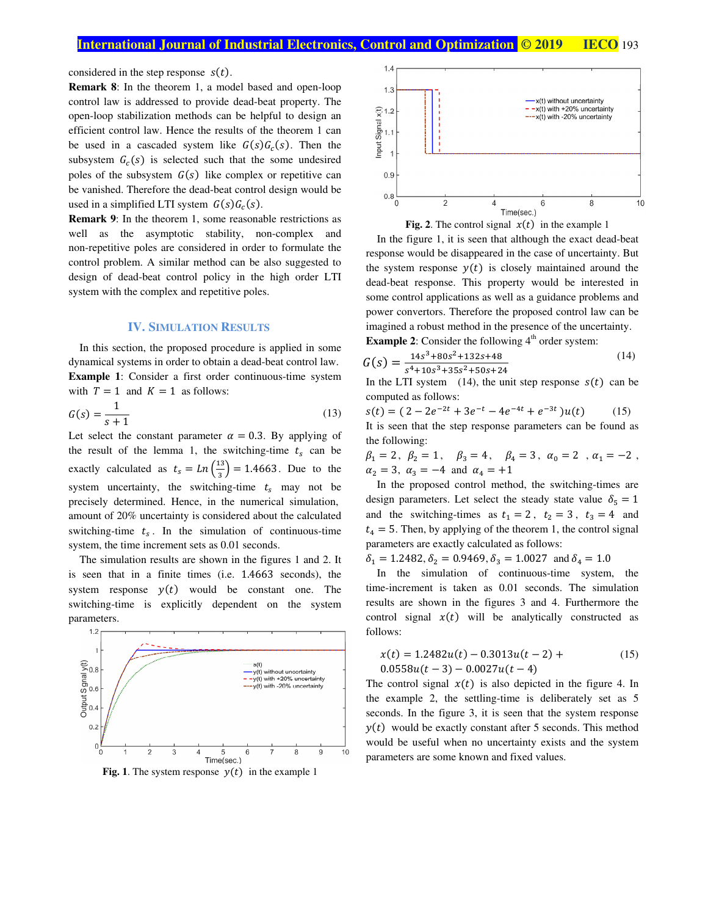considered in the step response  $s(t)$ .

**Remark 8**: In the theorem 1, a model based and open-loop control law is addressed to provide dead-beat property. The open-loop stabilization methods can be helpful to design an efficient control law. Hence the results of the theorem 1 can be used in a cascaded system like  $G(s)G_c(s)$ . Then the subsystem  $G_c(s)$  is selected such that the some undesired poles of the subsystem  $G(s)$  like complex or repetitive can be vanished. Therefore the dead-beat control design would be used in a simplified LTI system  $G(s)G_c(s)$ .

**Remark 9**: In the theorem 1, some reasonable restrictions as well as the asymptotic stability, non-complex and non-repetitive poles are considered in order to formulate the control problem. A similar method can be also suggested to design of dead-beat control policy in the high order LTI system with the complex and repetitive poles.

#### **IV. SIMULATION RESULTS**

In this section, the proposed procedure is applied in some dynamical systems in order to obtain a dead-beat control law. **Example 1**: Consider a first order continuous-time system with  $T = 1$  and  $K = 1$  as follows:

$$
G(s) = \frac{1}{s+1} \tag{13}
$$

Let select the constant parameter  $\alpha = 0.3$ . By applying of the result of the lemma 1, the switching-time  $t_s$  can be exactly calculated as  $t_s = Ln\left(\frac{13}{3}\right)$  $\binom{13}{3}$  = 1.4663. Due to the system uncertainty, the switching-time  $t_s$  may not be precisely determined. Hence, in the numerical simulation, amount of 20% uncertainty is considered about the calculated switching-time  $t_s$ . In the simulation of continuous-time system, the time increment sets as 0.01 seconds.

The simulation results are shown in the figures 1 and 2. It is seen that in a finite times (i.e. 1.4663 seconds), the system response  $y(t)$  would be constant one. The switching-time is explicitly dependent on the system parameters.



**Fig. 1**. The system response  $y(t)$  in the example 1





In the figure 1, it is seen that although the exact dead-beat response would be disappeared in the case of uncertainty. But the system response  $y(t)$  is closely maintained around the dead-beat response. This property would be interested in some control applications as well as a guidance problems and power convertors. Therefore the proposed control law can be imagined a robust method in the presence of the uncertainty. **Example 2**: Consider the following  $4<sup>th</sup>$  order system:

$$
G(s) = \frac{14s^3 + 80s^2 + 132s + 48}{s^4 + 10s^3 + 35s^2 + 50s + 24}
$$
\n(14)

In the LTI system (14), the unit step response  $s(t)$  can be computed as follows:

$$
s(t) = (2 - 2e^{-2t} + 3e^{-t} - 4e^{-4t} + e^{-3t})u(t)
$$
 (15)  
It is seen that the step response parameters can be found as  
the following:

 $\beta_1 = 2\, ,\;\; \beta_2 = 1\, ,\quad \beta_3 = 4\, ,\quad \beta_4 = 3\, ,\;\; \alpha_0 = 2\,$  ,  $\alpha_1 = -2\,$  ,  $\alpha_2 = 3$ ,  $\alpha_3 = -4$  and  $\alpha_4 = +1$ 

In the proposed control method, the switching-times are design parameters. Let select the steady state value  $\delta_5 = 1$ and the switching-times as  $t_1 = 2$ ,  $t_2 = 3$ ,  $t_3 = 4$  and  $t_4 = 5$ . Then, by applying of the theorem 1, the control signal parameters are exactly calculated as follows:

 $\delta_1 = 1.2482, \delta_2 = 0.9469, \delta_3 = 1.0027$  and  $\delta_4 = 1.0$ 

In the simulation of continuous-time system, the time-increment is taken as 0.01 seconds. The simulation results are shown in the figures 3 and 4. Furthermore the control signal  $x(t)$  will be analytically constructed as follows:

$$
x(t) = 1.2482u(t) - 0.3013u(t - 2) +
$$
  
0.0558u(t - 3) - 0.0027u(t - 4) (15)

The control signal  $x(t)$  is also depicted in the figure 4. In the example 2, the settling-time is deliberately set as 5 seconds. In the figure 3, it is seen that the system response  $y(t)$  would be exactly constant after 5 seconds. This method would be useful when no uncertainty exists and the system parameters are some known and fixed values.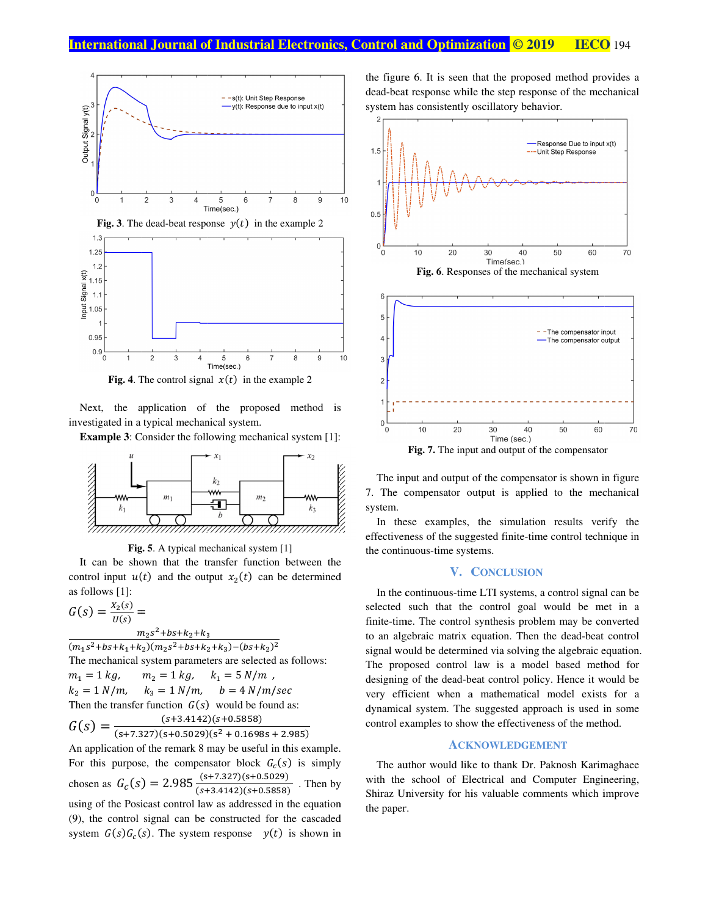

**Fig. 4**. The control signal  $x(t)$  in the example 2

investigated in a typical mechanical system. Next, the application of the proposed method is Next, the application of the proposed method is<br>vestigated in a typical mechanical system.<br>**Example 3**: Consider the following mechanical system [1]:



**Fig Fig. 5**. A typical mechanical system [1]

control input  $u(t)$  and the output  $x_2(t)$  can be determined as follows follows [1]: It can be shown that the transfer function between the

$$
G(s) = \frac{x_2(s)}{u(s)} = \frac{m_2 s^2 + bs + k_2 + k_3}{m_2 s^2 + bs + k_2 + k_3}
$$

 $(m_1s^2 + bs + k_1 + k_2)(m_2s^2 + bs + k_2 + k_3) - (bs + k_2)^2$ The mechanical system parameters are selected as follows:  $m_1 = 1 kg,$  1  $k_2 = 1 \, N/m, \quad N$ Then the transfer function  $G(s)$  would be found as:  $G(s) = \frac{(s+3.4142)(s+0.5858)}{(s+7.327)(s+0.5029)(s^2+0.1698s+2.985)}$  $m_2 = 1 kg$ ,  $k_1 = 5 N/m$ , ,  $k_3 = 1 \ N/m$ ,  $b = 4 \ N/m/sec$  $(s+3.4142)(s+0.5858)$  i,

An application of the remark 8 may be useful in this example. An application of the remark 8 may be useful in this example.<br>For this purpose, the compensator block  $G_c(s)$  is simply chosen as  $G_c(s) = 2.985 \frac{S}{s}$ using of the Posicast control law as addressed in the equation (9), the control signal can be constructed for the cascaded (9), the control signal can be constructed for the cascaded system  $G(s)G_c(s)$ . The system response  $y(t)$  is shown in  $(s+$ s+7.327)(s+0.5029 s+3.4142)(s+0.5858 <u>5029)</u> 5858) . Then by by

the figure 6. It is seen that the proposed method provides a dead-beat response while the step response of the mechanical system has consistently oscillatory behavior. dead-beat response while the step response of the mechanical dead-beat response while the step response of system has consistently oscillatory behavior.



The input and output of the compensator is shown in figure 7. The compensator output is applied to the mechanical system. The input and output of the compensator is shown in figure<br>7. The compensator output is applied to the mechanical<br>system.<br>In these examples, the simulation results verify the<br>effectiveness of the suggested finite-time cont The input and output of the compensator is shown in<br>7. The compensator output is applied to the mech<br>system.<br>In these examples, the simulation results verif<br>effectiveness of the suggested finite-time control techni

In these examples, the simulation results verify the the continuous-time systems.

#### **V. C ONCLUSION**

In the continuous-time LTI systems, a control signal can be selected such that the control goal would be met in a finite-time. The control synthesis problem may be converted to an algebraic matrix equation. Then the dead signal would be determined via solving the algebraic equation. The proposed control law is a model based method for The proposed control law is a model based method for designing of the dead-beat control policy. Hence it would be very efficient when a mathematical model exists for a dynamical system. The suggested approach is use very efficient when a mathematical model exists for a dynamical system. The suggested approach is used in some control examples to show the effectiveness of the method. In the continuous-time LTI systems, a control signal can be selected such that the control goal would be met in a finite-time. The control synthesis problem may be converted to an algebraic matrix equation. Then the dead-b a model based method for<br>ol policy. Hence it would be<br>natical model exists for a<br>ed approach is used in some The input and output of the compensator is shown in<br>7. The compensator output is applied to the mec<br>system.<br>In these examples, the simulation results verifectiveness of the suggested finite-time control techn<br>the continuou

#### **ACKNOWLEDGEMENT**

The author would like to thank Dr. Paknosh Karimaghaee with the school of Electrical and Computer Engineering, Shiraz University for his valuable comments which improve the paper.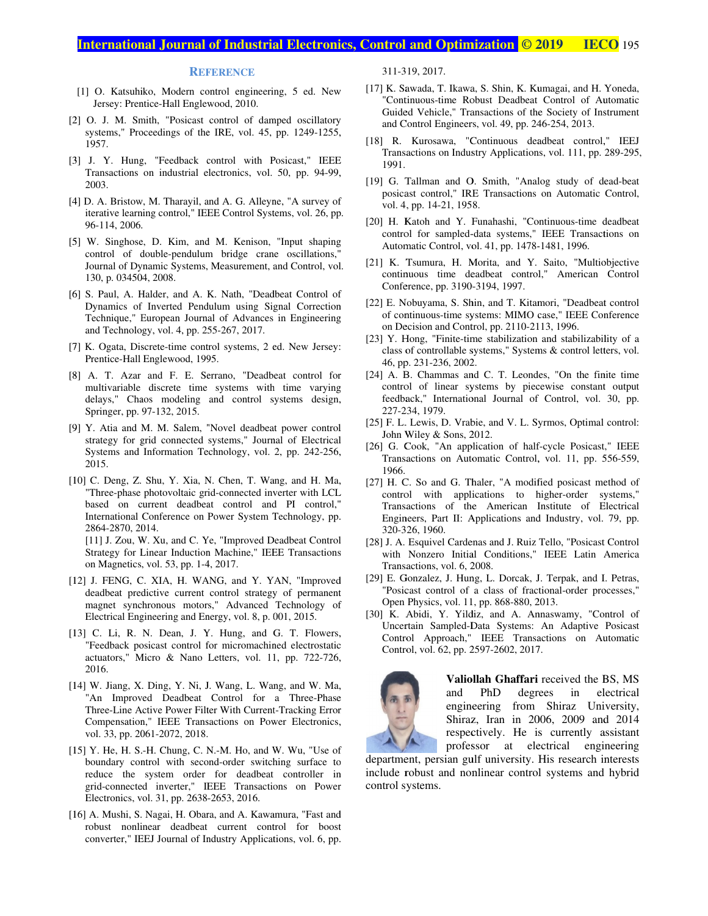#### **International Journal of Industrial Electronics, Control and Optimization © 2019 IECO IECO** 195

#### **REFERENCE**

- Jersey: Prentice-Hall Englewood, 2010.<br>
[2] O. J. M. Smith, "Posicast control of damped oscillatory [1] O. Katsuhiko, Modern control engineering, 5 ed. New Jersey: Prentice-Hall Englewood, 2010. Jersey: Prentice-Hall Englewood, 2010. Xatsuhiko, Modern control engineering, 5 ed. New<br>y: Prentice-Hall Englewood, 2010.<br>M. Smith, "Posicast control of damped oscillatory<br>s," Proceedings of the IRE, vol. 45, pp. 1249-1255,
- O. J. M. Smith, "Posicast control of damped oscillatory systems," Proceedings of the IRE, vol. 45, pp. 1249-1255, 1957. systems," Proceedings of the IRE, vol. 45, pp. 1249-1255, 1957.<br>I. Y. Hung, "Feedback control with Posicast," IEEE
- [3] J. Y. Hung, "Feedback control with Posicast," IEEE Transactions on industrial electronics, vol. 50, pp. 94-99, 2003.<br>[4] D. A. Bristow, M. Tharayil, and A. G. Alleyne, "A survey of J. Y. Hung, "Feedback control with Posicast," IEEE<br>Transactions on industrial electronics, vol. 50, pp. 94-99, 2003.
- iterative learning control," IEEE Control Systems, vol. 26, pp.<br>
96-114, 2006.<br>
[5] W. Singhose, D. Kim, and M. Kenison, "Input shaping iterative learning control," IEEE Control Systems, vol. 26, pp. 96-114, 2006. J. M. Smith, "Posicast control of damped oscillatory<br>ems," Proceedings of the IRE, vol. 45, pp. 1249-1255,<br>7.<br>Y. Hung, "Feedback control with Posicast," IEEE<br>ssactions on industrial electronics, vol. 50, pp. 94-99,<br>3.<br>.. B
- W. Singhose, D. Kim, and M. Kenison, "Input shaping control of double-pendulum bridge crane oscillations," Journal of Dynamic Systems, Measurement, and Control, vol. 130, p. 034504, 2008. control of double-pendulum bridge crane oscillations,"<br>Journal of Dynamic Systems, Measurement, and Control, vol.<br>130, p. 034504, 2008.<br>S. Paul, A. Halder, and A. K. Nath, "Deadbeat Control of
- [6] S. Paul, A. Halder, and A. K. Nath, "Deadbeat Control of Dynamics of Inverted Pendulum using Signal Correction Technique," European Journal of Advances in Engineering and Technology, vol. 4, pp. 255-267, 2017. Journal of Dynamic Systems, Measurement, and Control, vol.<br>
130, p. 034504, 2008.<br>
S. Paul, A. Halder, and A. K. Nath, "Deadbeat Control of<br>
Dynamics of Inverted Pendulum using Signal Correction<br>
Technique," European Journ
- [7] K. Ogata, Discrete-time control systems, 2 ed. New Jersey: Prentice-Hall Englewood, 1995. Prentice-Hall Englewood, 1995.
- [8] A. T. Azar and F. E. Serrano, "Deadbeat control for delays," Chaos modeling and control systems design, Springer, pp. 97-132, 2015.<br>[9] Y. Atia and M. M. Salem, "Novel deadbeat power control A. T. Azar and F. E. Serrano, "Deadbeat control for multivariable discrete time systems with time varying delays," Chaos modeling and control systems design, Springer, pp. 97-132, 2015. Hall Englewood, 1995.<br>Azar and F. E. Serrano, "I<br>able discrete time systems<br>Chaos modeling and cont.<br>pp. 97-132, 2015. Journal of Advances in Engineering<br>pp. 255-267, 2017.<br>e control systems, 2 ed. New Jersey:<br>d, 1995.<br>E. Serrano, "Deadbeat control for<br>time systems with time varying<br>ling and control systems design,<br>115.<br>lem, "Novel deadbea
- Systems and Information Technology, vol. 2, pp. 242-256, 2015.<br>[10] C. Deng, Z. Shu, Y. Xia, N. Chen, T. Wang, and H. Ma, strategy for grid connected systems," Journal of Electrical Systems and Information Technology, vol. 2, pp. 242-256, 2015.
- "Three-phase photovoltaic grid-connected inverter with LCL based on current deadbeat based control and PI control," International Conference on Power System Technology, pp. International Conference on pp. 2864-2870, 2014. ia and M. M. Salem, "Novel deadbeat power control<br>gy for grid connected systems," Journal of Electrical<br>ms and Information Technology, vol. 2, pp. 242-256,<br>leng, Z. Shu, Y. Xia, N. Chen, T. Wang, and H. Ma,<br>e-phase photovo REFERENCE<br>
2. Ratsuhiko, Modern control engineering,<br>
resey: Prentice-Hall Englewood, 2010.<br>
J. M. Smith, "Posiceast control of damped<br>
1. M. Smith, "Posiceast control of damped<br>
1. M. Smith, "Posiceast control of damped<br> Deng, Z. Shu, Y. Xia, N. Chen, T. Wang, and H. Ma,<br>ree-phase photovoltaic grid-connected inverter with LCL<br>d on current deadbeat control and PI control,"<br>mational Conference on Power System Technology, pp.<br>1-2870, 2014.<br>J. 10. Katoniko, REFERENT/SCT.<br>
20. Katoniko, Nobelm control engineering, 5 ed. New [17] K. Savonda, 7<br>
Jerosy: Poemics Hall Propleson, 2010.<br>
20. M. Smith, "Present control of the meal cosilidary Control O.<br>
20. M. Smith,

[11] J. Zou, W. Xu, and C. Ye, "Improved Deadbeat Control Strategy for Linear Induction Machine," IEEE Transactions on Magnetics, vol. 53, pp. 1 4, 2017.

- [12] J. FENG, C. XIA, H. WANG, and Y. YAN, "Improved Electrical Engineering and Energy, vol. 8, p. 001, 2015.<br>[13] C. Li, R. N. Dean, J. Y. Hung, and G. T. Flowers, deadbeat predictive current control strategy of permanent magnet synchronous motors," Advanced Technology of Electrical Engineering and Energy, vol. 8, p. 001, 2015. J J. FENG, C. XIA, H. WANG, and Y. YAN, "Improved deadbeat predictive current control strategy of permanent magnet synchronous motors," Advanced Technology of Electrical Engineering and Energy, vol. 8, p. 001, 2015. deadbeat predictive current control strategy of permanent
- actuators," Micro & Nano Letters, vol. 11, pp. 722-726, 2016.<br>
[14] W. Jiang, X. Ding, Y. Ni, J. Wang, L. Wang, and W. Ma, | C. Li, R. N. Dean, J. Y. Hung, and G. T. Flowers, "Feedback posicast control for micromachined electrostatic actuators," Micro & Nano Letters, vol. 11, pp. 722 2016. "Feedback posicast control for micromachined electruatures," Micro & Nano Letters, vol. 11, pp. 72<br>2016.<br>W. Jiang, X. Ding, Y. Ni, J. Wang, L. Wang, and V.<br>"An Improved Deadbeat Control for a Three
- vol. 33, pp. 2061-2072, 2018.<br>[15] Y. He, H. S.-H. Chung, C. N.-M. Ho, and W. Wu, "Use of W. Jiang, X. Ding, Y. Ni, J. Wang, L. Wang, and W. Ma, Three-Phase<br>"An Improved Deadbeat Control for a Three-Phase Three-Line A Line Active Power Filter With Current Current-Tracking Error Compensation," IEEE Transactions on Power Electronics, vol. 33, pp. 2061-2072, 2018. vol. 33, pp. 2061-2072, 2018. "An Improved Deadbeat Control for a Three-Phase<br>Three-Line Active Power Filter With Current-Tracking Error<br>Compensation," IEEE Transactions on Power Electronics,
- boundary control with second boundary control with second-order switching surface to reduce the system order for deadbeat controller in grid-connected inverter," IEEE Transactions on Power Electronics, vol. 31, pp. 2638 -2653, 2016. ce the system order<br>connected inverter," IE<br>tronics, vol. 31, pp. 2638-Power
- [16] A. Mushi, S. Nagai, H. Obara, and A. Kawamura, "Fast and robust nonlinear deadbeat current control for boost robust nonlinear deadbeat current control for boost converter," IEEJ Journal of Industry Applications, vol. 6, pp.

319, 2017.

- [17] K. Sawada, T. Ikawa, S. Shin, K. Kumagai, and H. Yoneda, [17] K. Sawada, T. Ikawa, S. Shin, K. Kumagai, and H. Yoneda, "Continuous-time Robust Deadbeat Control of Automatic Guided Vehicle," Transactions of the Society of Instrument and Control Engineers, vol. 49, pp. 246-254, 2013. and Control Engineers, vol. 49, pp. 246-254, 2013. K. Sawada, T. Ikawa, S. Shin, K. Kumagai, and H. Yoneda, "Continuous-time Robust Deadbeat Control of Automatic Guided Vehicle," Transactions of the Society of Instrument and Control Engineers, vol. 49, pp. 246-254, 2013.<br>R awada, T. Ikawa, S. Shin, K. Kumagai, and H. Yoneda, tinuous-time Robust Deadbeat Control of Automatic ed Vehicle," Transactions of the Society of Instrument Control Engineers, vol. 49, pp. 246-254, 2013.<br>Kurosawa, "Contin
- [18] R. Kurosawa, "Continuous deadbeat control," IEEJ 1991. [18] R. Kurosawa, "Continuous deadbeat control," IEEJ<br>Transactions on Industry Applications, vol. 111, pp. 289-295,<br>[19] G. Tallman and O. Smith, "Analog study of dead-beat
- posicast control," IRE<br>vol. 4, pp. 14-21, 1958. vol. 4, pp. 14-21, 1958.
- vol. 4, pp. 14-21, 1958.<br>
[20] H. Katoh and Y. Funahashi, "Continuous-time deadbeat<br>
control for sampled-data systems," IEEE Transactions on control for sampled-data systems," IEEE Transactions on control for sampled-data systems," IEEE Trans<br>Automatic Control, vol. 41, pp. 1478-1481, 1996. "Continuous-time deadbeat
- [21] K. Tsumura, H. Morita, and Y continuous time deadbeat control," American Control<br>Conference, pp. 3190-3194, 1997. Conference, pp. 3190 3190- Automatic Control, vol. 41, pp. 1478-1481, 1996.<br>
[21] K. Tsumura, H. Morita, and Y. Saito, "Multiobjective<br>
continuous time deadbeat control," American Control Tsumura, H. Morita, and Y. Saito, "Multiobjective
- [22] E. Nobuyama, S. Shin, and T. Kitamori, "Deadbeat control of continuous-time systems: MIMO case," IEEE Conference of continuous on Decision and Control, pp. 2110-2113, 1996. on Decision and Control, pp. 2110-2113, 1996.<br>[23] Y. Hong, "Finite-time stabilization and stabilizability of a Nobuyama, S. Shin, and T. Kitamori, "Deadbeat control continuous-time systems: MIMO case," IEEE Conference Decision and Control, pp. 2110-2113, 1996.
- class of controllable systems," Systems & control letters, vol.<br>46, pp. 231-236, 2002. 46, pp. 231 time stabilization and stabilizability of a controllable systems," Systems & control letters, vol.<br>
131-236, 2002.<br>
Chammas and C. T. Leondes, "On the finite time of linear systems by piecewise constant output
- [24] A. B. Chammas and C. T. Leondes, "On the finite time [24] A. B. Chammas and C. T. Leondes, "On the finite time control of linear systems by piecewise constant output feedback," International Journal of Control, vol. 30, pp. feedback," International Journal of Control, vol. pp. 234, 1979. 227-234, 1979. eedback," International Journal of Control, vol. 30,<br>27-234, 1979.<br>F. L. Lewis, D. Vrabie, and V. L. Syrmos, Optimal con<br>ohn Wiley & Sons, 2012.<br>G. Cook, "An application of half-cycle Posicast," II Tsumura, H. Morita, and Y. Saito, "Multiobjective<br>nuous time deadbeat control," American Control<br>erence, pp. 3190-3194, 1997.<br>Jobuyama, S. Shin, and T. Kitamori, "Deadbeat control<br>ntinuous-time systems: MIMO case," IEEE Co is control," IRE Transactions on Automatic Control,<br>pp. 14-21, 1958.<br>atoh and Y. Funahashi, "Continuous-time deadbeat<br>for sampled-data systems," IEEE Transactions on<br>atic Control, vol. 41, pp. 1478-1481, 1996.<br>'sumura, H.
- [25] F. L. Lewis, D. Vrabie, and V. L. Syrmos, Optimal control: John Wiley & Sons, 2012.
- [26] G. Cook, "An application of half Transactions on Automatic Control, vol. 11, pp. 556-559, 1966. [25] F. L. Lewis, D. Vrabie, and V. L. Syrmos, Optimal control:<br>John Wiley & Sons, 2012.<br>[26] G. Cook, "An application of half-cycle Posicast," IEEE<br>Transactions on Automatic Control, vol. 11, pp. 556-559,
- [27] H. C. So and G. Thaler, "A modified posicast method of control with applications to higher Transactions of the American Institute of Electrical Transactions of the American Institute of Electrical Engineers, Part II: Applications and Industry, vol. 79, pp. 320-326, 1960. 326, 1960. [27] H. C. So and G. Thaler, "A modified posicast method control with applications to higher-order system Transactions of the American Institute of Electric Engineers, Part II: Applications and Industry, vol. 79, p. ransactions on Automatic Control, vol. 11, pp. 556-559,<br>966.<br>H. C. So and G. Thaler, "A modified posicast method of<br>ontrol with applications to higher-order systems," **Foll and Optimization © 2019 • IECO** 15<br>
11-319, 2017.<br>
C. Sawada, T. Ikawa, S. Shin, K. Kumagai, and H. Yoned<br>
Continuous-time Robust Deadbeta Control of Automativelar Vehicles' Transactions of the Society of Instrumen Institute of Electrical I. Applications and Industry, vol. 79, pp. ardenas and J. Ruiz Tello, "Posicast Control<br>initial Conditions," IEEE Latin America<br>6, 2008.<br>Hung, L. Dorcak, J. Terpak, and I. Petras, of a class of frac control with applications to higher-order systems,"<br>
Transactions of the American Institute of Electrical<br>
Engineers, Part II: Applications and Industry, vol. 79, pp.<br>
320-326, 1960.<br>
J. A. Esquivel Cardenas and J. Ruiz Te
- [28] J. A. Esquivel Cardenas and J. Ruiz Tello, "Posicast Control" with Nonzero Initial Conditions," IEEE Latin America Transactions, vol. 6, 2008. [28] J. A. Esquivel Cardenas and J. Ruiz Tello, "Posicast Control with Nonzero Initial Conditions," IEEE Latin America Transactions, vol. 6, 2008. J. A. Esquivel Cardenas and J. Ruiz Tello, "Posicast Conditions," IEEE Latin A<br>Transactions, vol. 6, 2008.<br>E. Gonzalez, J. Hung, L. Dorcak, J. Terpak, and I.<br>"Posicast control of a class of fractional-order proc<br>Open Physi
- [29] E. Gonzalez, J. Hung, L. Dorcak, J. Terpak, and I. Petras,<br>
"Posicast control of a class of fractional-order processes,"<br>
Open Physics, vol. 11, pp. 868-880, 2013.<br>
[30] K. Abidi, Y. Yildiz, and A. Annaswamy, "Control "Posicast control of a class of fractional-order processes," Open Physics, vol. 11, pp. 868-880, 2013.
- [30] K. Abidi, Y. Yildiz, and A. Annaswamy, "Control of Uncertain Sampled-Data Systems: An Adaptive Posicast Control Approach," IEEE Transactions on Automati Control Approach," IEEE Transactions on Automati Control, vol. 62, pp. 2597-2602, 2017. v., vol. 11, pp. 868-880, 2013.<br>
Y. Yildiz, and A. Annaswamy, "Control of impled-Data Systems: An Adaptive Posicast proach," IEEE Transactions on Automatic 62, pp. 2597-2602, 2017.



**Valiollah Ghaffari** received the BS, MS and PhD degrees in electrical engineering from Shiraz University, University, Shiraz, Iran in 2006, 2009 and 2014 2014 respectively. He is currently assistant professor at electrical engineering **affari** received the BS, MS<br>degrees in electrical<br>from Shiraz University,<br>in 2006, 2009 and 2014<br>He is currently assistant<br>electrical engineering<br>rsity. His research interests

department, persian gulf university. His research interes include robust and nonlinear control systems and hybrid control systems. department, persian gulf university. His research interests include robust and nonlinear control systems and hybrid control systems. nonlinear control systems and hybrid